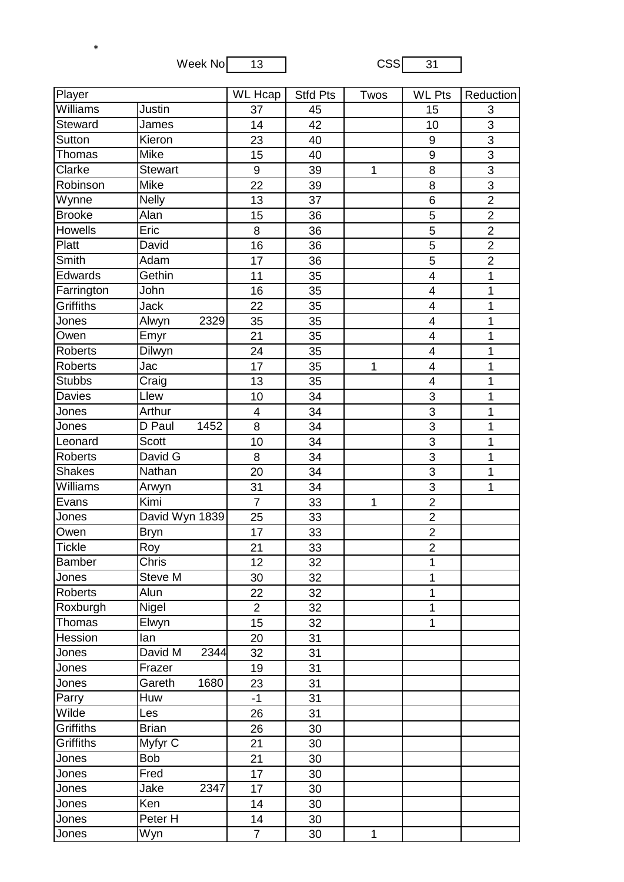Week No 13 CSS 31

\*

| <b>Player</b>  |                 | $\overline{\text{WL}}$ Hcap | <b>Stfd Pts</b> | Twos         | <b>WL Pts</b>           | Reduction      |
|----------------|-----------------|-----------------------------|-----------------|--------------|-------------------------|----------------|
| Williams       | Justin          | 37                          | 45              |              | 15                      | 3              |
| <b>Steward</b> | James           | 14                          | 42              |              | 10                      | 3              |
| Sutton         | Kieron          | 23                          | 40              |              | 9                       | $\overline{3}$ |
| Thomas         | Mike            | 15                          | 40              |              | $\boldsymbol{9}$        | 3              |
| Clarke         | <b>Stewart</b>  | 9                           | 39              | $\mathbf{1}$ | 8                       | $\overline{3}$ |
| Robinson       | Mike            | 22                          | 39              |              | 8                       | $\overline{3}$ |
| Wynne          | <b>Nelly</b>    | 13                          | 37              |              | 6                       | $\overline{2}$ |
| <b>Brooke</b>  | Alan            | 15                          | 36              |              | 5                       | $\overline{2}$ |
| Howells        | Eric            | 8                           | 36              |              | 5                       | $\overline{2}$ |
| Platt          | David           | 16                          | 36              |              | 5                       | $\overline{2}$ |
| Smith          | Adam            | 17                          | 36              |              | 5                       | $\overline{2}$ |
| Edwards        | Gethin          | 11                          | 35              |              | $\overline{4}$          | 1              |
| Farrington     | John            | 16                          | 35              |              | $\overline{\mathbf{4}}$ | $\overline{1}$ |
| Griffiths      | <b>Jack</b>     | 22                          | 35              |              | 4                       | 1              |
| Jones          | 2329<br>Alwyn   | 35                          | 35              |              | $\overline{\mathbf{4}}$ | 1              |
| Owen           | Emyr            | 21                          | 35              |              | $\overline{\mathbf{4}}$ | $\mathbf 1$    |
| <b>Roberts</b> | Dilwyn          | 24                          | 35              |              | $\overline{4}$          | 1              |
| <b>Roberts</b> | Jac             | 17                          | 35              | $\mathbf 1$  | $\overline{\mathbf{4}}$ | $\overline{1}$ |
| <b>Stubbs</b>  | Craig           | 13                          | 35              |              | 4                       | 1              |
| Davies         | Llew            | 10                          | 34              |              | 3                       | 1              |
| Jones          | Arthur          | 4                           | 34              |              | $\overline{3}$          | $\mathbf 1$    |
| Jones          | 1452<br>D Paul  | 8                           | 34              |              | 3                       | 1              |
| Leonard        | <b>Scott</b>    | 10                          | 34              |              | $\overline{3}$          | $\overline{1}$ |
| <b>Roberts</b> | David G         | 8                           | 34              |              | 3                       | 1              |
| <b>Shakes</b>  | Nathan          | 20                          | 34              |              | 3                       | 1              |
| Williams       | Arwyn           | 31                          | 34              |              | $\overline{3}$          | 1              |
| Evans          | Kimi            | $\overline{7}$              | 33              | 1            | $\overline{2}$          |                |
| Jones          | David Wyn 1839  | 25                          | 33              |              | $\overline{2}$          |                |
| Owen           | <b>Bryn</b>     | 17                          | 33              |              | $\overline{2}$          |                |
| <b>Tickle</b>  | Roy             | 21                          | 33              |              | $\overline{2}$          |                |
| Bamber         | Chris           | 12                          | 32              |              | 1                       |                |
| Jones          | Steve M         | 30                          | 32              |              | 1                       |                |
| <b>Roberts</b> | Alun            | 22                          | 32              |              | $\mathbf{1}$            |                |
| Roxburgh       | Nigel           | $\overline{2}$              | 32              |              | $\mathbf 1$             |                |
| Thomas         | Elwyn           | 15                          | 32              |              | $\mathbf 1$             |                |
| Hession        | lan             | 20                          | 31              |              |                         |                |
| Jones          | David M<br>2344 | 32                          | 31              |              |                         |                |
| Jones          | Frazer          | 19                          | 31              |              |                         |                |
| Jones          | Gareth<br>1680  | 23                          | 31              |              |                         |                |
| Parry          | Huw             | $-1$                        | 31              |              |                         |                |
| Wilde          | Les             | 26                          | 31              |              |                         |                |
| Griffiths      | <b>Brian</b>    | 26                          | 30              |              |                         |                |
| Griffiths      | Myfyr C         | 21                          | 30              |              |                         |                |
| Jones          | <b>Bob</b>      | 21                          | 30              |              |                         |                |
| Jones          | Fred            | 17                          | 30              |              |                         |                |
| Jones          | 2347<br>Jake    | 17                          | 30              |              |                         |                |
| Jones          | Ken             | 14                          | 30              |              |                         |                |
| Jones          | Peter H         | 14                          | 30              |              |                         |                |
| Jones          | Wyn             | $\overline{7}$              | 30              | $\mathbf 1$  |                         |                |